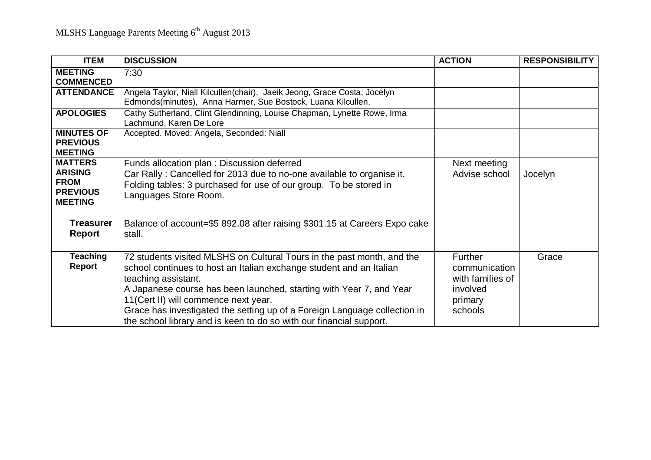| <b>ITEM</b>                                                                          | <b>DISCUSSION</b>                                                                                                                                                                                                                                                                                                                                                                                                                       | <b>ACTION</b>                                                                         | <b>RESPONSIBILITY</b> |
|--------------------------------------------------------------------------------------|-----------------------------------------------------------------------------------------------------------------------------------------------------------------------------------------------------------------------------------------------------------------------------------------------------------------------------------------------------------------------------------------------------------------------------------------|---------------------------------------------------------------------------------------|-----------------------|
| <b>MEETING</b><br><b>COMMENCED</b>                                                   | 7:30                                                                                                                                                                                                                                                                                                                                                                                                                                    |                                                                                       |                       |
| <b>ATTENDANCE</b>                                                                    | Angela Taylor, Niall Kilcullen(chair), Jaeik Jeong, Grace Costa, Jocelyn<br>Edmonds(minutes), Anna Harmer, Sue Bostock, Luana Kilcullen,                                                                                                                                                                                                                                                                                                |                                                                                       |                       |
| <b>APOLOGIES</b>                                                                     | Cathy Sutherland, Clint Glendinning, Louise Chapman, Lynette Rowe, Irma<br>Lachmund, Karen De Lore                                                                                                                                                                                                                                                                                                                                      |                                                                                       |                       |
| <b>MINUTES OF</b><br><b>PREVIOUS</b><br><b>MEETING</b>                               | Accepted. Moved: Angela, Seconded: Niall                                                                                                                                                                                                                                                                                                                                                                                                |                                                                                       |                       |
| <b>MATTERS</b><br><b>ARISING</b><br><b>FROM</b><br><b>PREVIOUS</b><br><b>MEETING</b> | Funds allocation plan: Discussion deferred<br>Car Rally: Cancelled for 2013 due to no-one available to organise it.<br>Folding tables: 3 purchased for use of our group. To be stored in<br>Languages Store Room.                                                                                                                                                                                                                       | Next meeting<br>Advise school                                                         | Jocelyn               |
| <b>Treasurer</b><br><b>Report</b>                                                    | Balance of account=\$5 892.08 after raising \$301.15 at Careers Expo cake<br>stall.                                                                                                                                                                                                                                                                                                                                                     |                                                                                       |                       |
| <b>Teaching</b><br><b>Report</b>                                                     | 72 students visited MLSHS on Cultural Tours in the past month, and the<br>school continues to host an Italian exchange student and an Italian<br>teaching assistant.<br>A Japanese course has been launched, starting with Year 7, and Year<br>11(Cert II) will commence next year.<br>Grace has investigated the setting up of a Foreign Language collection in<br>the school library and is keen to do so with our financial support. | <b>Further</b><br>communication<br>with families of<br>involved<br>primary<br>schools | Grace                 |